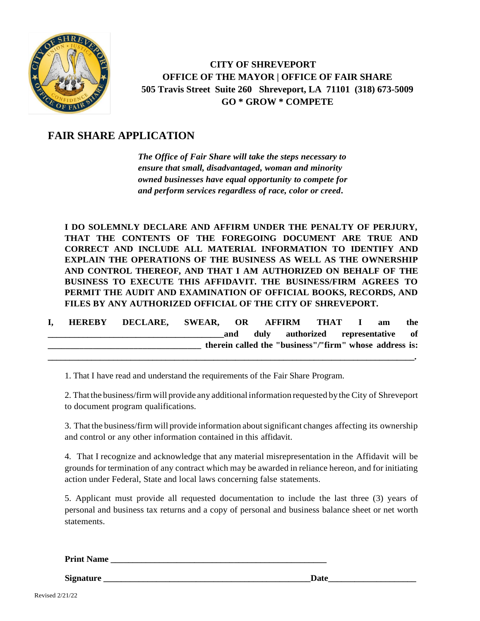

 **CITY OF SHREVEPORT OFFICE OF THE MAYOR | OFFICE OF FAIR SHARE 505 Travis Street Suite 260 Shreveport, LA 71101 (318) 673-5009 GO \* GROW \* COMPETE**

## **FAIR SHARE APPLICATION**

*The Office of Fair Share will take the steps necessary to ensure that small, disadvantaged, woman and minority owned businesses have equal opportunity to compete for and perform services regardless of race, color or creed***.**

**I DO SOLEMNLY DECLARE AND AFFIRM UNDER THE PENALTY OF PERJURY, THAT THE CONTENTS OF THE FOREGOING DOCUMENT ARE TRUE AND CORRECT AND INCLUDE ALL MATERIAL INFORMATION TO IDENTIFY AND EXPLAIN THE OPERATIONS OF THE BUSINESS AS WELL AS THE OWNERSHIP AND CONTROL THEREOF, AND THAT I AM AUTHORIZED ON BEHALF OF THE BUSINESS TO EXECUTE THIS AFFIDAVIT. THE BUSINESS/FIRM AGREES TO PERMIT THE AUDIT AND EXAMINATION OF OFFICIAL BOOKS, RECORDS, AND FILES BY ANY AUTHORIZED OFFICIAL OF THE CITY OF SHREVEPORT.**

**I, HEREBY DECLARE, SWEAR, OR AFFIRM THAT I am the \_\_\_\_\_\_\_\_\_\_\_\_\_\_\_\_\_\_\_\_\_\_\_\_\_\_\_\_\_\_\_\_\_\_\_\_\_\_\_\_and duly authorized representative of \_\_\_\_\_\_\_\_\_\_\_\_\_\_\_\_\_\_\_\_\_\_\_\_\_\_\_\_\_\_\_\_\_\_ therein called the "business"/"firm" whose address is: \_\_\_\_\_\_\_\_\_\_\_\_\_\_\_\_\_\_\_\_\_\_\_\_\_\_\_\_\_\_\_\_\_\_\_\_\_\_\_\_\_\_\_\_\_\_\_\_\_\_\_\_\_\_\_\_\_\_\_\_\_\_\_\_\_\_\_\_\_\_\_\_\_\_\_\_\_\_\_\_\_\_\_\_.**

1. That I have read and understand the requirements of the Fair Share Program.

2. Thatthe business/firm will provide any additional information requested by the City of Shreveport to document program qualifications.

3. That the business/firm will provide information aboutsignificant changes affecting its ownership and control or any other information contained in this affidavit.

4. That I recognize and acknowledge that any material misrepresentation in the Affidavit will be grounds for termination of any contract which may be awarded in reliance hereon, and for initiating action under Federal, State and local laws concerning false statements.

5. Applicant must provide all requested documentation to include the last three (3) years of personal and business tax returns and a copy of personal and business balance sheet or net worth statements.

**Print Name** 

**Signature \_\_\_\_\_\_\_\_\_\_\_\_\_\_\_\_\_\_\_\_\_\_\_\_\_\_\_\_\_\_\_\_\_\_\_\_\_\_\_\_\_\_\_\_\_\_\_Date\_\_\_\_\_\_\_\_\_\_\_\_\_\_\_\_\_\_\_\_**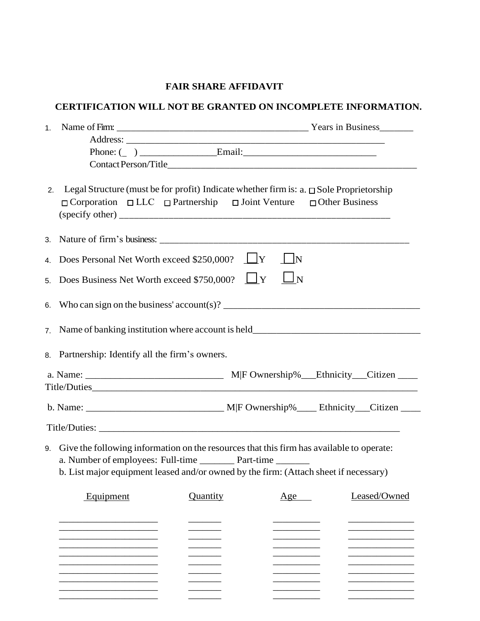## **FAIR SHARE AFFIDAVIT**

## **CERTIFICATION WILL NOT BE GRANTED ON INCOMPLETE INFORMATION.**

| 2.             |                                                                                 | Legal Structure (must be for profit) Indicate whether firm is: a. $\square$ Sole Proprietorship<br>$\Box$ Corporation $\Box$ LLC $\Box$ Partnership $\Box$ Joint Venture $\Box$ Other Business |          |              |  |  |  |
|----------------|---------------------------------------------------------------------------------|------------------------------------------------------------------------------------------------------------------------------------------------------------------------------------------------|----------|--------------|--|--|--|
|                |                                                                                 |                                                                                                                                                                                                |          |              |  |  |  |
| 4.             | Does Personal Net Worth exceed \$250,000? $\Box Y$<br>$\parallel$ $\parallel$ N |                                                                                                                                                                                                |          |              |  |  |  |
| 5.             |                                                                                 | Does Business Net Worth exceed \$750,000? $\Box Y$                                                                                                                                             | $\Box$ N |              |  |  |  |
|                |                                                                                 |                                                                                                                                                                                                |          |              |  |  |  |
| 7 <sup>1</sup> |                                                                                 |                                                                                                                                                                                                |          |              |  |  |  |
|                | 8. Partnership: Identify all the firm's owners.                                 |                                                                                                                                                                                                |          |              |  |  |  |
|                |                                                                                 |                                                                                                                                                                                                |          |              |  |  |  |
|                |                                                                                 |                                                                                                                                                                                                |          |              |  |  |  |
|                |                                                                                 |                                                                                                                                                                                                |          |              |  |  |  |
|                |                                                                                 |                                                                                                                                                                                                |          |              |  |  |  |
|                |                                                                                 |                                                                                                                                                                                                |          |              |  |  |  |
|                |                                                                                 |                                                                                                                                                                                                |          |              |  |  |  |
|                |                                                                                 | 9. Give the following information on the resources that this firm has available to operate:                                                                                                    |          |              |  |  |  |
|                |                                                                                 | a. Number of employees: Full-time Part-time                                                                                                                                                    |          |              |  |  |  |
|                |                                                                                 | b. List major equipment leased and/or owned by the firm: (Attach sheet if necessary)                                                                                                           |          |              |  |  |  |
|                | Equipment                                                                       | Quantity                                                                                                                                                                                       | Age      | Leased/Owned |  |  |  |
|                |                                                                                 |                                                                                                                                                                                                |          |              |  |  |  |
|                |                                                                                 |                                                                                                                                                                                                |          |              |  |  |  |
|                |                                                                                 |                                                                                                                                                                                                |          |              |  |  |  |
|                |                                                                                 |                                                                                                                                                                                                |          |              |  |  |  |
|                |                                                                                 |                                                                                                                                                                                                |          |              |  |  |  |
|                |                                                                                 |                                                                                                                                                                                                |          |              |  |  |  |